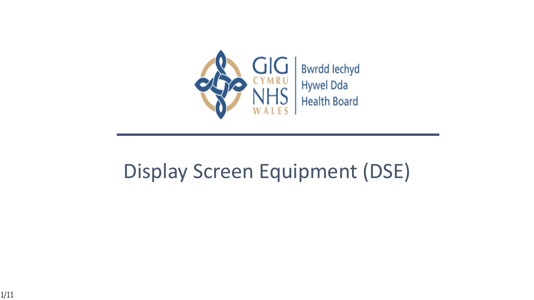

#### Display Screen Equipment (DSE)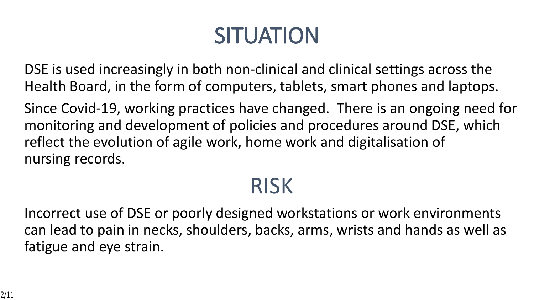# **SITUATION**

DSE is used increasingly in both non-clinical and clinical settings across the Health Board, in the form of computers, tablets, smart phones and laptops.

Since Covid-19, working practices have changed. There is an ongoing need for monitoring and development of policies and procedures around DSE, which reflect the evolution of agile work, home work and digitalisation of nursing records.

#### RISK

Incorrect use of DSE or poorly designed workstations or work environments can lead to pain in necks, shoulders, backs, arms, wrists and hands as well as fatigue and eye strain.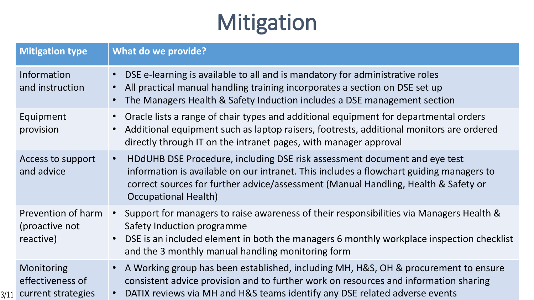### **Mitigation**

| <b>Mitigation type</b>                                    | <b>What do we provide?</b>                                                                                                                                                                                                                                                                             |
|-----------------------------------------------------------|--------------------------------------------------------------------------------------------------------------------------------------------------------------------------------------------------------------------------------------------------------------------------------------------------------|
| Information<br>and instruction                            | • DSE e-learning is available to all and is mandatory for administrative roles<br>All practical manual handling training incorporates a section on DSE set up<br>$\bullet$<br>The Managers Health & Safety Induction includes a DSE management section<br>$\bullet$                                    |
| Equipment<br>provision                                    | Oracle lists a range of chair types and additional equipment for departmental orders<br>$\bullet$<br>Additional equipment such as laptop raisers, footrests, additional monitors are ordered<br>$\bullet$<br>directly through IT on the intranet pages, with manager approval                          |
| Access to support<br>and advice                           | HDdUHB DSE Procedure, including DSE risk assessment document and eye test<br>$\bullet$<br>information is available on our intranet. This includes a flowchart guiding managers to<br>correct sources for further advice/assessment (Manual Handling, Health & Safety or<br><b>Occupational Health)</b> |
| Prevention of harm<br>(proactive not<br>reactive)         | Support for managers to raise awareness of their responsibilities via Managers Health &<br>$\bullet$ .<br>Safety Induction programme<br>DSE is an included element in both the managers 6 monthly workplace inspection checklist<br>$\bullet$<br>and the 3 monthly manual handling monitoring form     |
| Monitoring<br>effectiveness of<br>3/11 current strategies | • A Working group has been established, including MH, H&S, OH & procurement to ensure<br>consistent advice provision and to further work on resources and information sharing<br>DATIX reviews via MH and H&S teams identify any DSE related adverse events<br>$\bullet$                               |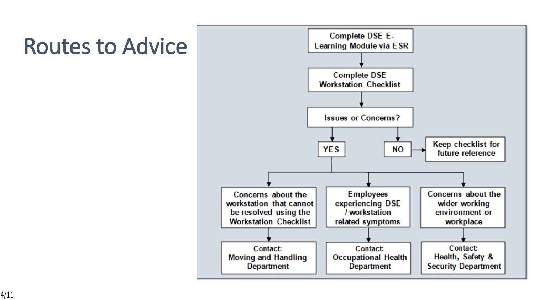#### **Routes to Advice**

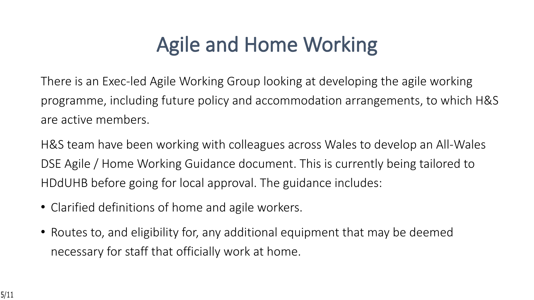#### **Agile and Home Working**

There is an Exec-led Agile Working Group looking at developing the agile working programme, including future policy and accommodation arrangements, to which H&S are active members.

H&S team have been working with colleagues across Wales to develop an All-Wales DSE Agile / Home Working Guidance document. This is currently being tailored to HDdUHB before going for local approval. The guidance includes:

- Clarified definitions of home and agile workers.
- Routes to, and eligibility for, any additional equipment that may be deemed necessary for staff that officially work at home.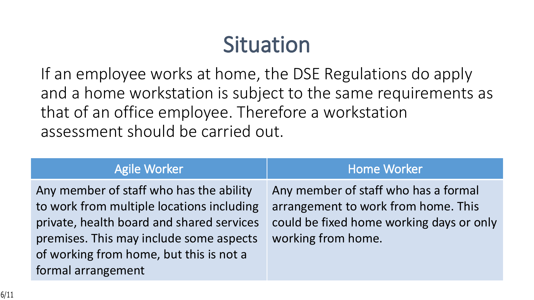### **Situation**

If an employee works at home, the DSE Regulations do apply and a home workstation is subject to the same requirements as that of an office employee. Therefore a workstation assessment should be carried out.

| <b>Agile Worker</b>                                                                                                                                                                                                                           | <b>Home Worker</b>                                                                                                                            |
|-----------------------------------------------------------------------------------------------------------------------------------------------------------------------------------------------------------------------------------------------|-----------------------------------------------------------------------------------------------------------------------------------------------|
| Any member of staff who has the ability<br>to work from multiple locations including<br>private, health board and shared services<br>premises. This may include some aspects<br>of working from home, but this is not a<br>formal arrangement | Any member of staff who has a formal<br>arrangement to work from home. This<br>could be fixed home working days or only<br>working from home. |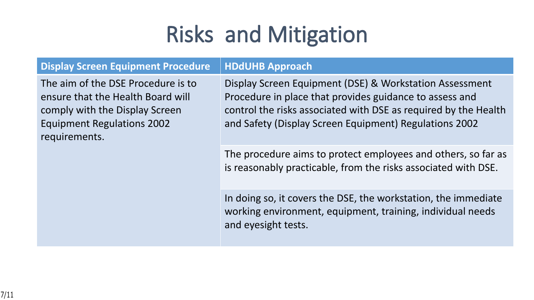## **Risks and Mitigation**

| <b>Display Screen Equipment Procedure</b>                                                                                                                       | <b>HDdUHB Approach</b>                                                                                                                                                                                                                          |
|-----------------------------------------------------------------------------------------------------------------------------------------------------------------|-------------------------------------------------------------------------------------------------------------------------------------------------------------------------------------------------------------------------------------------------|
| The aim of the DSE Procedure is to<br>ensure that the Health Board will<br>comply with the Display Screen<br><b>Equipment Regulations 2002</b><br>requirements. | Display Screen Equipment (DSE) & Workstation Assessment<br>Procedure in place that provides guidance to assess and<br>control the risks associated with DSE as required by the Health<br>and Safety (Display Screen Equipment) Regulations 2002 |
|                                                                                                                                                                 | The procedure aims to protect employees and others, so far as<br>is reasonably practicable, from the risks associated with DSE.                                                                                                                 |
|                                                                                                                                                                 | In doing so, it covers the DSE, the workstation, the immediate<br>working environment, equipment, training, individual needs<br>and eyesight tests.                                                                                             |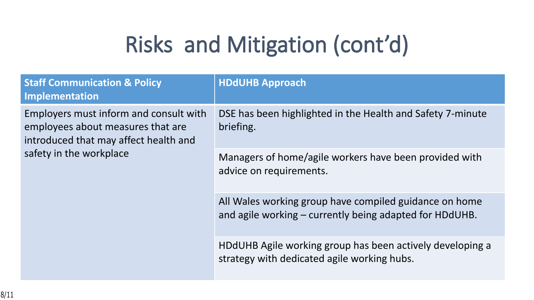# **Risks and Mitigation (cont'd)**

| <b>Staff Communication &amp; Policy</b><br>Implementation                                                            | <b>HDdUHB Approach</b>                                                                                            |
|----------------------------------------------------------------------------------------------------------------------|-------------------------------------------------------------------------------------------------------------------|
| Employers must inform and consult with<br>employees about measures that are<br>introduced that may affect health and | DSE has been highlighted in the Health and Safety 7-minute<br>briefing.                                           |
| safety in the workplace                                                                                              | Managers of home/agile workers have been provided with<br>advice on requirements.                                 |
|                                                                                                                      | All Wales working group have compiled guidance on home<br>and agile working – currently being adapted for HDdUHB. |
|                                                                                                                      | HDdUHB Agile working group has been actively developing a<br>strategy with dedicated agile working hubs.          |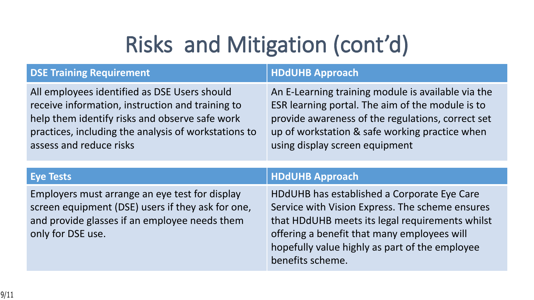# **Risks and Mitigation (cont'd)**

| <b>DSE Training Requirement</b>                                                                                                                                                                                                       | <b>HDdUHB Approach</b>                                                                                                                                                                                                                          |
|---------------------------------------------------------------------------------------------------------------------------------------------------------------------------------------------------------------------------------------|-------------------------------------------------------------------------------------------------------------------------------------------------------------------------------------------------------------------------------------------------|
| All employees identified as DSE Users should<br>receive information, instruction and training to<br>help them identify risks and observe safe work<br>practices, including the analysis of workstations to<br>assess and reduce risks | An E-Learning training module is available via the<br>ESR learning portal. The aim of the module is to<br>provide awareness of the regulations, correct set<br>up of workstation & safe working practice when<br>using display screen equipment |
|                                                                                                                                                                                                                                       |                                                                                                                                                                                                                                                 |
| <b>Eye Tests</b>                                                                                                                                                                                                                      | <b>HDdUHB Approach</b>                                                                                                                                                                                                                          |
| Employers must arrange an eye test for display<br>screen equipment (DSE) users if they ask for one,<br>and provide glasses if an employee needs them                                                                                  | HDdUHB has established a Corporate Eye Care<br>Service with Vision Express. The scheme ensures<br>that HDdUHB meets its legal requirements whilst                                                                                               |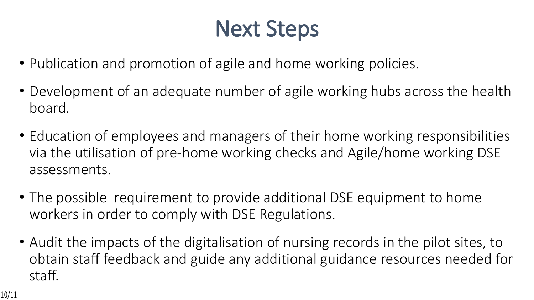### **Next Steps**

- Publication and promotion of agile and home working policies.
- Development of an adequate number of agile working hubs across the health board.
- Education of employees and managers of their home working responsibilities via the utilisation of pre-home working checks and Agile/home working DSE assessments.
- The possible requirement to provide additional DSE equipment to home workers in order to comply with DSE Regulations.
- Audit the impacts of the digitalisation of nursing records in the pilot sites, to obtain staff feedback and guide any additional guidance resources needed for staff.